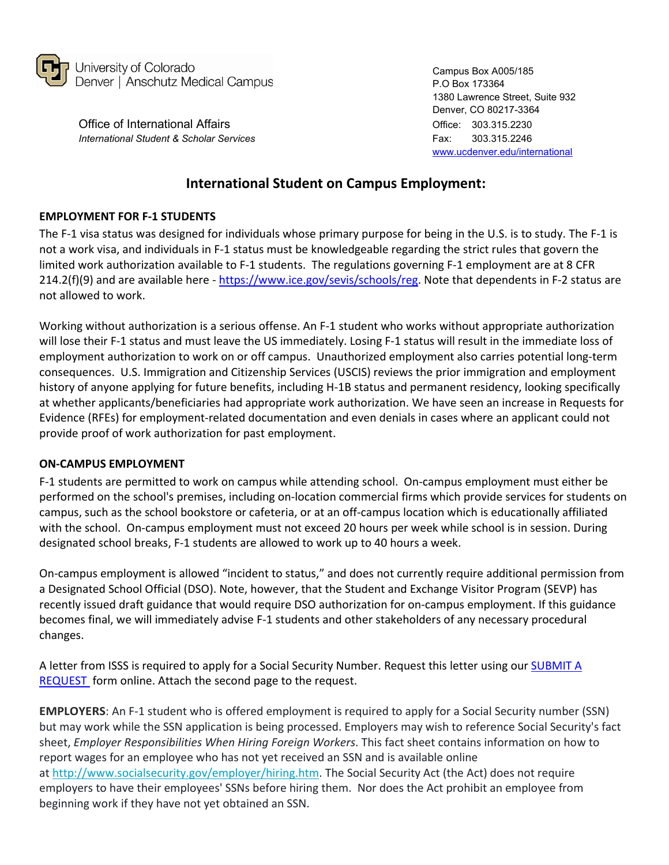

Office of International Affairs **Contract Contract Contract Contract Contract Contract Contract Contract Contract Contract Contract Contract Contract Contract Contract Contract Contract Contract Contract Contract Contract** *International Student & Scholar Services* Fax: 303.315.2246

Campus Box A005/185 P.O Box 173364 1380 Lawrence Street, Suite 932 Denver, CO 80217-3364 [www.ucdenver.edu/international](http://www.ucdenver.edu/international) 

## **International Student on Campus Employment:**

## **EMPLOYMENT FOR F-1 STUDENTS**

The F-1 visa status was designed for individuals whose primary purpose for being in the U.S. is to study. The F-1 is not a work visa, and individuals in F-1 status must be knowledgeable regarding the strict rules that govern the limited work authorization available to F-1 students. The regulations governing F-1 employment are at 8 CFR 214.2(f)(9) and are available here - [https://www.ice.gov/sevis/schools/reg.](https://www.ice.gov/sevis/schools/reg) Note that dependents in F-2 status are not allowed to work.

Working without authorization is a serious offense. An F-1 student who works without appropriate authorization will lose their F-1 status and must leave the US immediately. Losing F-1 status will result in the immediate loss of employment authorization to work on or off campus. Unauthorized employment also carries potential long-term consequences. U.S. Immigration and Citizenship Services (USCIS) reviews the prior immigration and employment history of anyone applying for future benefits, including H-1B status and permanent residency, looking specifically at whether applicants/beneficiaries had appropriate work authorization. We have seen an increase in Requests for Evidence (RFEs) for employment-related documentation and even denials in cases where an applicant could not provide proof of work authorization for past employment.

## **ON-CAMPUS EMPLOYMENT**

F-1 students are permitted to work on campus while attending school. On-campus employment must either be performed on the school's premises, including on-location commercial firms which provide services for students on campus, such as the school bookstore or cafeteria, or at an off-campus location which is educationally affiliated with the school. On-campus employment must not exceed 20 hours per week while school is in session. During designated school breaks, F-1 students are allowed to work up to 40 hours a week.

On-campus employment is allowed "incident to status," and does not currently require additional permission from a Designated School Official (DSO). Note, however, that the Student and Exchange Visitor Program (SEVP) has recently issued draft guidance that would require DSO authorization for on-campus employment. If this guidance becomes final, we will immediately advise F-1 students and other stakeholders of any necessary procedural changes.

A letter from ISSS is required to apply for a Social Security Number. Request this letter using our **SUBMIT A** [REQUEST](https://ucdenverdata.formstack.com/forms/sso_oia_isss_request) form online. Attach the second page to the request.

**EMPLOYERS**: An F-1 student who is offered employment is required to apply for a Social Security number (SSN) but may work while the SSN application is being processed. Employers may wish to reference Social Security's fact sheet, *Employer Responsibilities When Hiring Foreign Workers*. This fact sheet contains information on how to report wages for an employee who has not yet received an SSN and is available online at [http://www.socialsecurity.gov/employer/hiring.htm.](http://www.socialsecurity.gov/employer/hiring.htm) The Social Security Act (the Act) does not require employers to have their employees' SSNs before hiring them. Nor does the Act prohibit an employee from beginning work if they have not yet obtained an SSN.